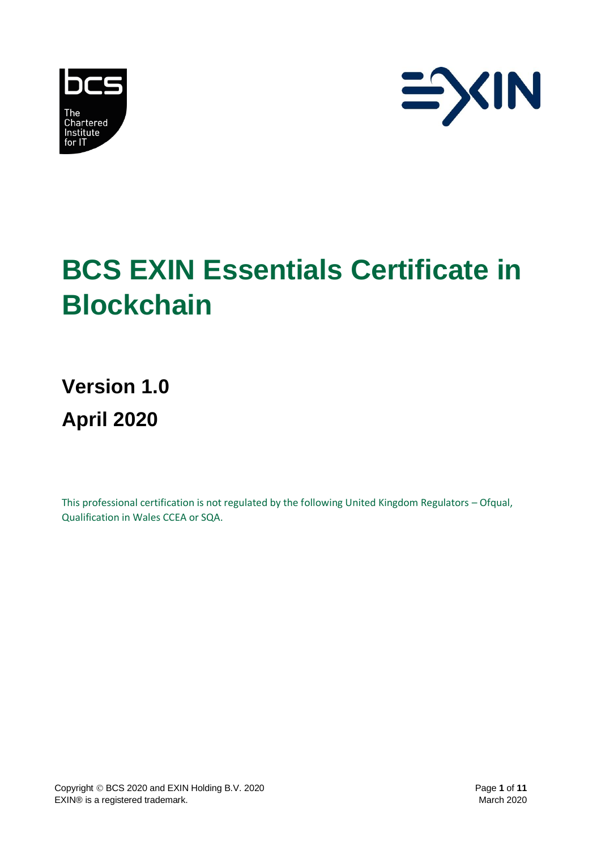



# **BCS EXIN Essentials Certificate in Blockchain**

**Version 1.0 April 2020**

This professional certification is not regulated by the following United Kingdom Regulators – Ofqual, Qualification in Wales CCEA or SQA.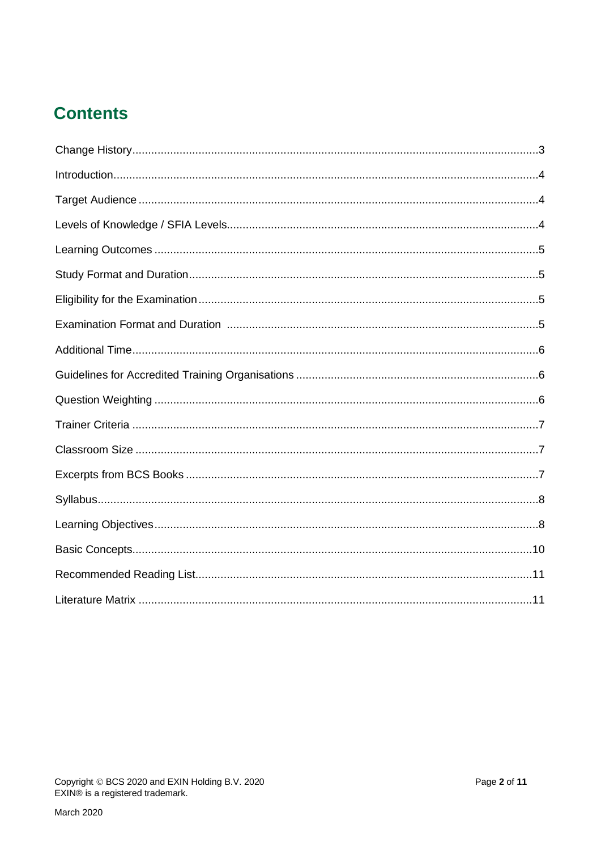# **Contents**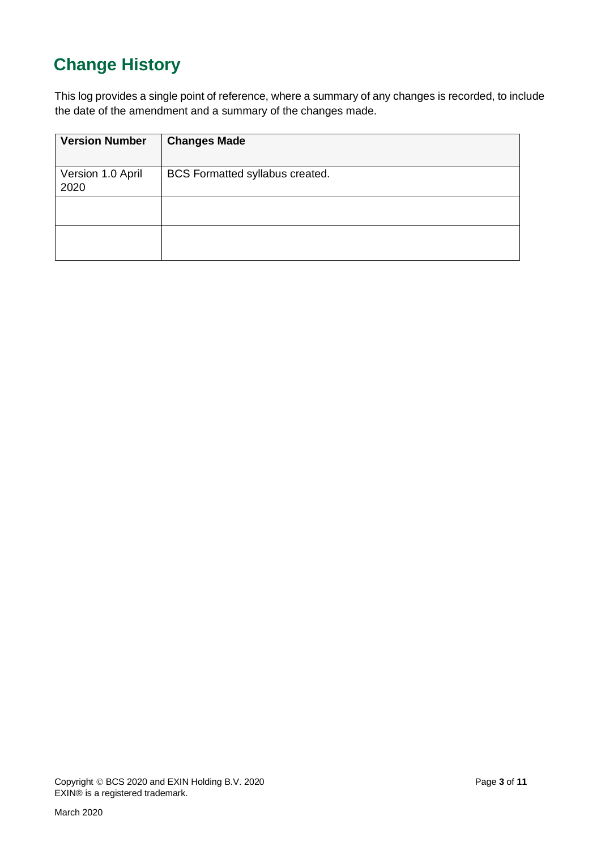# <span id="page-2-0"></span>**Change History**

This log provides a single point of reference, where a summary of any changes is recorded, to include the date of the amendment and a summary of the changes made.

| <b>Version Number</b>     | <b>Changes Made</b>             |
|---------------------------|---------------------------------|
| Version 1.0 April<br>2020 | BCS Formatted syllabus created. |
|                           |                                 |
|                           |                                 |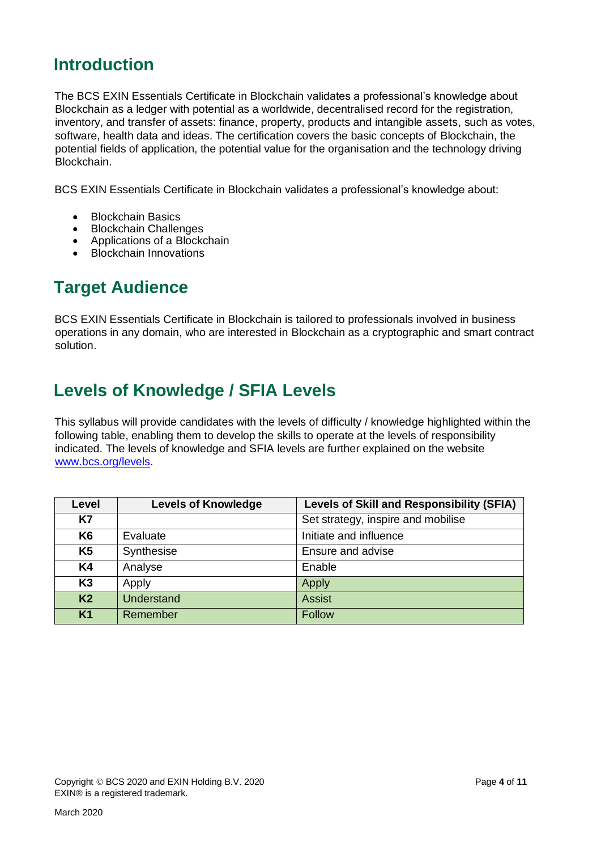#### <span id="page-3-0"></span>**Introduction**

The BCS EXIN Essentials Certificate in Blockchain validates a professional's knowledge about Blockchain as a ledger with potential as a worldwide, decentralised record for the registration, inventory, and transfer of assets: finance, property, products and intangible assets, such as votes, software, health data and ideas. The certification covers the basic concepts of Blockchain, the potential fields of application, the potential value for the organisation and the technology driving Blockchain.

BCS EXIN Essentials Certificate in Blockchain validates a professional's knowledge about:

- Blockchain Basics
- Blockchain Challenges
- Applications of a Blockchain
- Blockchain Innovations

#### <span id="page-3-1"></span>**Target Audience**

BCS EXIN Essentials Certificate in Blockchain is tailored to professionals involved in business operations in any domain, who are interested in Blockchain as a cryptographic and smart contract solution.

#### <span id="page-3-2"></span>**Levels of Knowledge / SFIA Levels**

This syllabus will provide candidates with the levels of difficulty / knowledge highlighted within the following table, enabling them to develop the skills to operate at the levels of responsibility indicated. The levels of knowledge and SFIA levels are further explained on the website [www.bcs.org/levels.](http://www.bcs.org/levels)

| Level          | <b>Levels of Knowledge</b> | <b>Levels of Skill and Responsibility (SFIA)</b> |
|----------------|----------------------------|--------------------------------------------------|
| <b>K7</b>      |                            | Set strategy, inspire and mobilise               |
| K <sub>6</sub> | Evaluate                   | Initiate and influence                           |
| K <sub>5</sub> | Synthesise                 | Ensure and advise                                |
| <b>K4</b>      | Analyse                    | Enable                                           |
| K <sub>3</sub> | Apply                      | Apply                                            |
| K <sub>2</sub> | <b>Understand</b>          | <b>Assist</b>                                    |
| <b>K1</b>      | Remember                   | <b>Follow</b>                                    |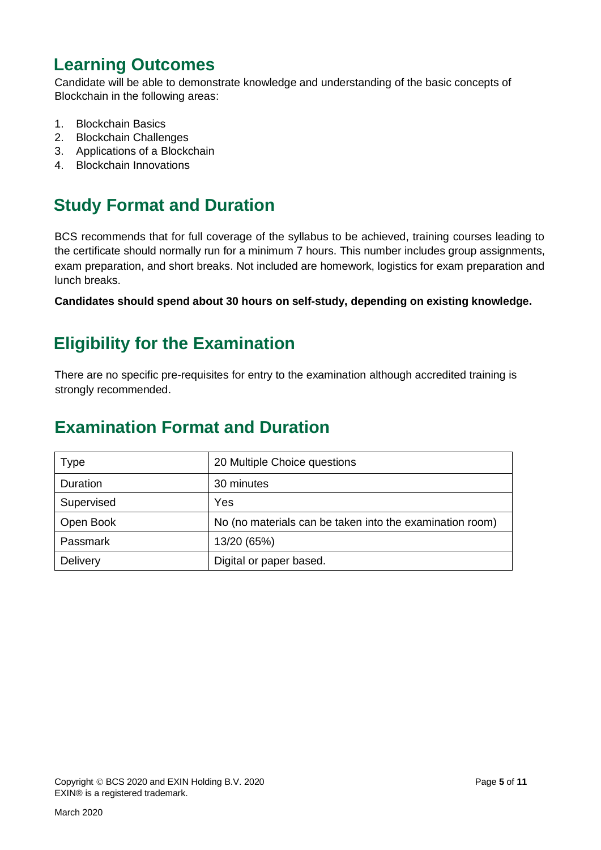### <span id="page-4-0"></span>**Learning Outcomes**

Candidate will be able to demonstrate knowledge and understanding of the basic concepts of Blockchain in the following areas:

- 1. Blockchain Basics
- 2. Blockchain Challenges
- 3. Applications of a Blockchain
- 4. Blockchain Innovations

### <span id="page-4-1"></span>**Study Format and Duration**

BCS recommends that for full coverage of the syllabus to be achieved, training courses leading to the certificate should normally run for a minimum 7 hours. This number includes group assignments, exam preparation, and short breaks. Not included are homework, logistics for exam preparation and lunch breaks.

**Candidates should spend about 30 hours on self-study, depending on existing knowledge.**

### <span id="page-4-2"></span>**Eligibility for the Examination**

There are no specific pre-requisites for entry to the examination although accredited training is strongly recommended.

#### **Examination Format and Duration**

| <b>Type</b> | 20 Multiple Choice questions                             |
|-------------|----------------------------------------------------------|
| Duration    | 30 minutes                                               |
| Supervised  | Yes                                                      |
| Open Book   | No (no materials can be taken into the examination room) |
| Passmark    | 13/20 (65%)                                              |
| Delivery    | Digital or paper based.                                  |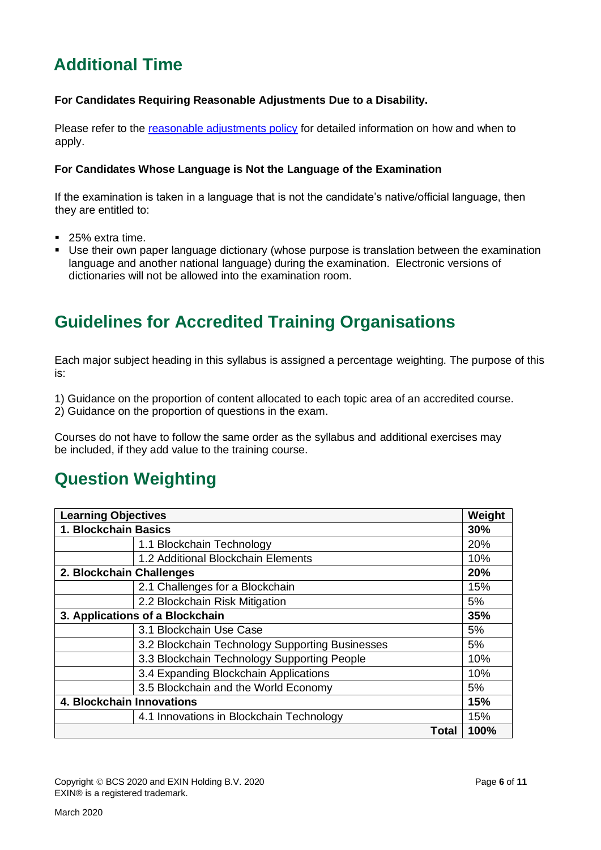### <span id="page-5-0"></span>**Additional Time**

#### **For Candidates Requiring Reasonable Adjustments Due to a Disability.**

Please refer to the [reasonable adjustments policy](https://certifications.bcs.org/upload/pdf/reasonable-adjustments-policy_1.pdf) for detailed information on how and when to apply.

#### **For Candidates Whose Language is Not the Language of the Examination**

If the examination is taken in a language that is not the candidate's native/official language, then they are entitled to:

- 25% extra time.
- Use their own paper language dictionary (whose purpose is translation between the examination language and another national language) during the examination. Electronic versions of dictionaries will not be allowed into the examination room.

#### **Guidelines for Accredited Training Organisations**

Each major subject heading in this syllabus is assigned a percentage weighting. The purpose of this is:

1) Guidance on the proportion of content allocated to each topic area of an accredited course. 2) Guidance on the proportion of questions in the exam.

Courses do not have to follow the same order as the syllabus and additional exercises may be included, if they add value to the training course.

#### **Question Weighting**

| <b>Learning Objectives</b>      |                                                 |       | Weight |
|---------------------------------|-------------------------------------------------|-------|--------|
| 1. Blockchain Basics            |                                                 |       | 30%    |
|                                 | 1.1 Blockchain Technology                       |       | 20%    |
|                                 | 1.2 Additional Blockchain Elements              |       | 10%    |
| 2. Blockchain Challenges        |                                                 |       | 20%    |
|                                 | 2.1 Challenges for a Blockchain                 |       | 15%    |
|                                 | 2.2 Blockchain Risk Mitigation                  |       | 5%     |
| 3. Applications of a Blockchain |                                                 |       | 35%    |
|                                 | 3.1 Blockchain Use Case                         |       | 5%     |
|                                 | 3.2 Blockchain Technology Supporting Businesses |       | 5%     |
|                                 | 3.3 Blockchain Technology Supporting People     |       | 10%    |
|                                 | 3.4 Expanding Blockchain Applications           |       | 10%    |
|                                 | 3.5 Blockchain and the World Economy            |       | 5%     |
| 4. Blockchain Innovations       |                                                 |       | 15%    |
|                                 | 4.1 Innovations in Blockchain Technology        |       | 15%    |
|                                 |                                                 | Total | 100%   |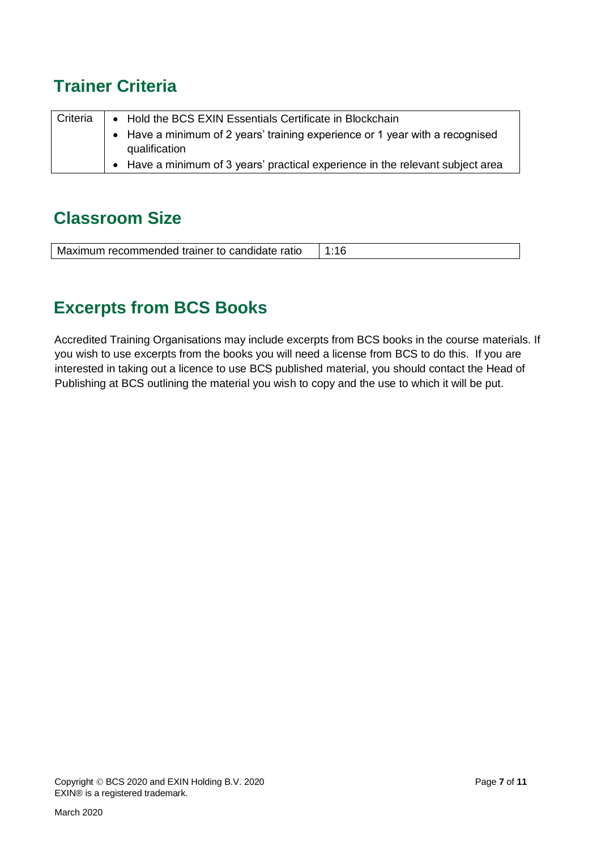### <span id="page-6-0"></span>**Trainer Criteria**

| Criteria | • Hold the BCS EXIN Essentials Certificate in Blockchain |                                                                                |
|----------|----------------------------------------------------------|--------------------------------------------------------------------------------|
|          |                                                          | • Have a minimum of 2 years' training experience or 1 year with a recognised   |
|          |                                                          | qualification                                                                  |
|          |                                                          | • Have a minimum of 3 years' practical experience in the relevant subject area |
|          |                                                          |                                                                                |

#### <span id="page-6-1"></span>**Classroom Size**

### <span id="page-6-2"></span>**Excerpts from BCS Books**

Accredited Training Organisations may include excerpts from BCS books in the course materials. If you wish to use excerpts from the books you will need a license from BCS to do this. If you are interested in taking out a licence to use BCS published material, you should contact the Head of Publishing at BCS outlining the material you wish to copy and the use to which it will be put.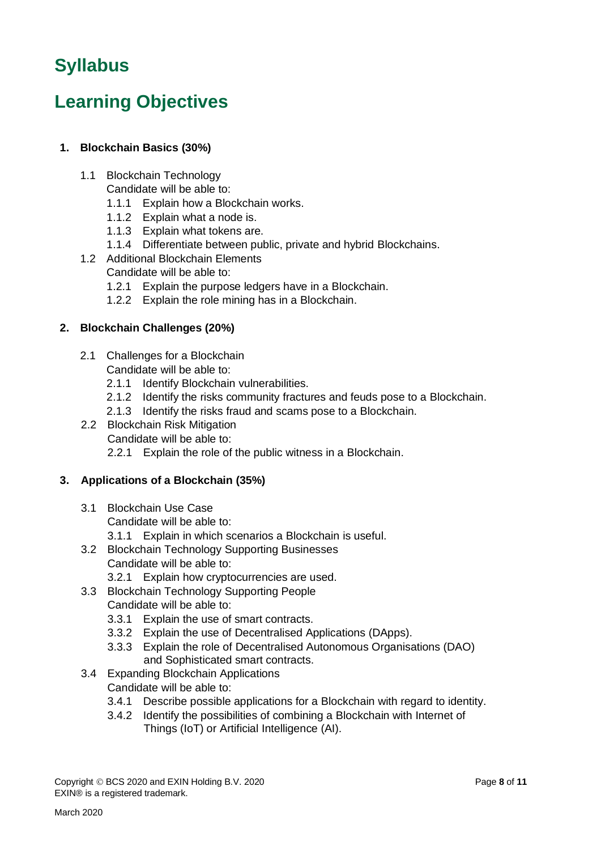# <span id="page-7-0"></span>**Syllabus**

# <span id="page-7-1"></span>**Learning Objectives**

#### **1. Blockchain Basics (30%)**

- 1.1 Blockchain Technology
	- Candidate will be able to:
	- 1.1.1 Explain how a Blockchain works.
	- 1.1.2 Explain what a node is.
	- 1.1.3 Explain what tokens are.
	- 1.1.4 Differentiate between public, private and hybrid Blockchains.
- 1.2 Additional Blockchain Elements Candidate will be able to:
	- 1.2.1 Explain the purpose ledgers have in a Blockchain.
	- 1.2.2 Explain the role mining has in a Blockchain.

#### **2. Blockchain Challenges (20%)**

- 2.1 Challenges for a Blockchain
	- Candidate will be able to:
	- 2.1.1 Identify Blockchain vulnerabilities.
	- 2.1.2 Identify the risks community fractures and feuds pose to a Blockchain.
	- 2.1.3 Identify the risks fraud and scams pose to a Blockchain.
- 2.2 Blockchain Risk Mitigation
	- Candidate will be able to:
	- 2.2.1 Explain the role of the public witness in a Blockchain.

#### **3. Applications of a Blockchain (35%)**

- 3.1 Blockchain Use Case Candidate will be able to:
	- 3.1.1 Explain in which scenarios a Blockchain is useful.
- 3.2 Blockchain Technology Supporting Businesses
	- Candidate will be able to:
	- 3.2.1 Explain how cryptocurrencies are used.
- 3.3 Blockchain Technology Supporting People Candidate will be able to:
	- 3.3.1 Explain the use of smart contracts.
	- 3.3.2 Explain the use of Decentralised Applications (DApps).
	- 3.3.3 Explain the role of Decentralised Autonomous Organisations (DAO) and Sophisticated smart contracts.
- 3.4 Expanding Blockchain Applications
	- Candidate will be able to:
	- 3.4.1 Describe possible applications for a Blockchain with regard to identity.
	- 3.4.2 Identify the possibilities of combining a Blockchain with Internet of Things (IoT) or Artificial Intelligence (AI).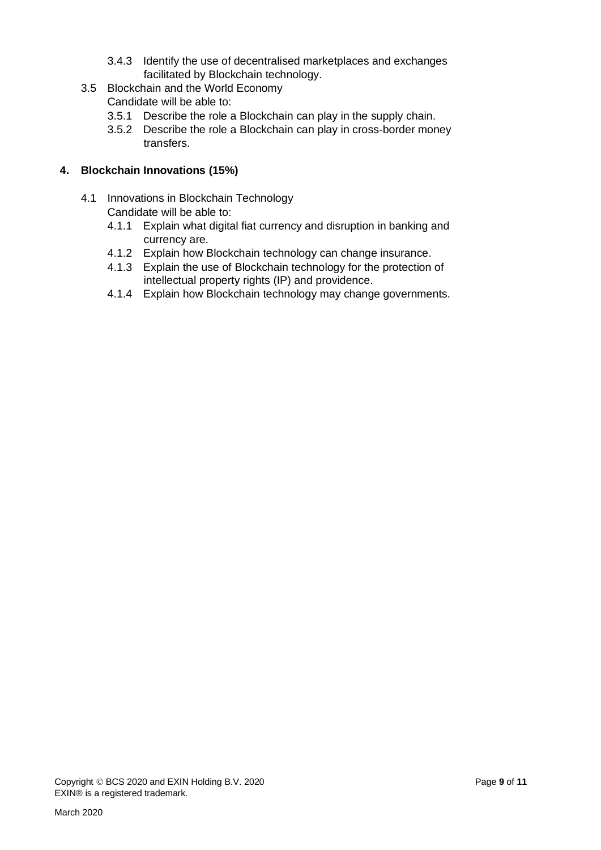- 3.4.3 Identify the use of decentralised marketplaces and exchanges facilitated by Blockchain technology.
- 3.5 Blockchain and the World Economy
	- Candidate will be able to:
	- 3.5.1 Describe the role a Blockchain can play in the supply chain.
	- 3.5.2 Describe the role a Blockchain can play in cross-border money transfers.

#### **4. Blockchain Innovations (15%)**

- 4.1 Innovations in Blockchain Technology Candidate will be able to:
	- 4.1.1 Explain what digital fiat currency and disruption in banking and currency are.
	- 4.1.2 Explain how Blockchain technology can change insurance.
	- 4.1.3 Explain the use of Blockchain technology for the protection of intellectual property rights (IP) and providence.
	- 4.1.4 Explain how Blockchain technology may change governments.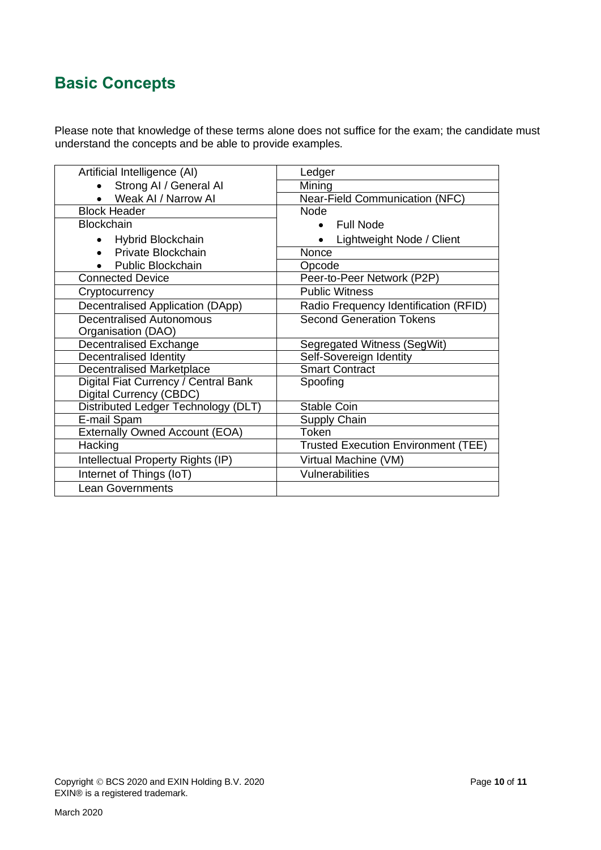#### <span id="page-9-0"></span>**Basic Concepts**

Please note that knowledge of these terms alone does not suffice for the exam; the candidate must understand the concepts and be able to provide examples.

| Artificial Intelligence (AI)          | Ledger                                     |  |
|---------------------------------------|--------------------------------------------|--|
| Strong AI / General AI                | Mining                                     |  |
| • Weak AI / Narrow AI                 | <b>Near-Field Communication (NFC)</b>      |  |
| <b>Block Header</b>                   | <b>Node</b>                                |  |
| <b>Blockchain</b>                     | <b>Full Node</b><br>$\bullet$              |  |
| • Hybrid Blockchain                   | Lightweight Node / Client<br>$\bullet$     |  |
| Private Blockchain<br>$\bullet$       | Nonce                                      |  |
| • Public Blockchain                   | Opcode                                     |  |
| Connected Device                      | Peer-to-Peer Network (P2P)                 |  |
| Cryptocurrency                        | <b>Public Witness</b>                      |  |
| Decentralised Application (DApp)      | Radio Frequency Identification (RFID)      |  |
| <b>Decentralised Autonomous</b>       | <b>Second Generation Tokens</b>            |  |
| Organisation (DAO)                    |                                            |  |
| <b>Decentralised Exchange</b>         | Segregated Witness (SegWit)                |  |
| Decentralised Identity                | Self-Sovereign Identity                    |  |
| Decentralised Marketplace             | <b>Smart Contract</b>                      |  |
| Digital Fiat Currency / Central Bank  | Spoofing                                   |  |
| Digital Currency (CBDC)               |                                            |  |
| Distributed Ledger Technology (DLT)   | <b>Stable Coin</b>                         |  |
| E-mail Spam                           | Supply Chain                               |  |
| <b>Externally Owned Account (EOA)</b> | Token                                      |  |
| Hacking                               | <b>Trusted Execution Environment (TEE)</b> |  |
| Intellectual Property Rights (IP)     | Virtual Machine (VM)                       |  |
| Internet of Things (IoT)              | Vulnerabilities                            |  |
| Lean Governments                      |                                            |  |